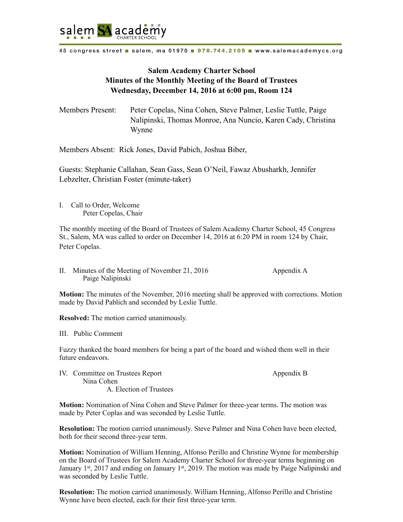

45 congress street a salem, ma 01970 a 978.744.2105 a www.salemacademycs.org

## **Salem Academy Charter School Minutes of the Monthly Meeting of the Board of Trustees Wednesday, December 14, 2016 at 6:00 pm, Room 124**

Members Present: Peter Copelas, Nina Cohen, Steve Palmer, Leslie Tuttle, Paige Nalipinski, Thomas Monroe, Ana Nuncio, Karen Cady, Christina Wynne

Members Absent: Rick Jones, David Pabich, Joshua Biber,

Guests: Stephanie Callahan, Sean Gass, Sean O'Neil, Fawaz Abusharkh, Jennifer Lebzelter, Christian Foster (minute-taker)

I. Call to Order, Welcome Peter Copelas, Chair

The monthly meeting of the Board of Trustees of Salem Academy Charter School, 45 Congress St., Salem, MA was called to order on December 14, 2016 at 6:20 PM in room 124 by Chair, Peter Copelas.

II. Minutes of the Meeting of November 21, 2016 Appendix A Paige Nalipinski

**Motion:** The minutes of the November, 2016 meeting shall be approved with corrections. Motion made by David Pablich and seconded by Leslie Tuttle.

**Resolved:** The motion carried unanimously.

III. Public Comment

Fuzzy thanked the board members for being a part of the board and wished them well in their future endeavors.

IV. Committee on Trustees Report Appendix B Nina Cohen A. Election of Trustees

**Motion:** Nomination of Nina Cohen and Steve Palmer for three-year terms. The motion was made by Peter Coplas and was seconded by Leslie Tuttle.

**Resolution:** The motion carried unanimously. Steve Palmer and Nina Cohen have been elected, both for their second three-year term.

**Motion:** Nomination of William Henning, Alfonso Perillo and Christine Wynne for membership on the Board of Trustees for Salem Academy Charter School for three-year terms beginning on January 1<sup>st</sup>, 2017 and ending on January 1<sup>st</sup>, 2019. The motion was made by Paige Nalipinski and was seconded by Leslie Tuttle.

**Resolution:** The motion carried unanimously. William Henning, Alfonso Perillo and Christine Wynne have been elected, each for their first three-year term.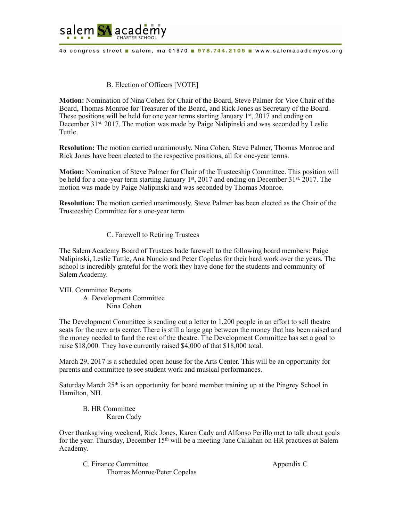

45 congress street a salem, ma 01970 a 978.744.2105 a www.salemacademycs.org

## B. Election of Officers [VOTE]

**Motion:** Nomination of Nina Cohen for Chair of the Board, Steve Palmer for Vice Chair of the Board, Thomas Monroe for Treasurer of the Board, and Rick Jones as Secretary of the Board. These positions will be held for one year terms starting January 1<sup>st</sup>, 2017 and ending on December 31st, 2017. The motion was made by Paige Nalipinski and was seconded by Leslie Tuttle.

**Resolution:** The motion carried unanimously. Nina Cohen, Steve Palmer, Thomas Monroe and Rick Jones have been elected to the respective positions, all for one-year terms.

**Motion:** Nomination of Steve Palmer for Chair of the Trusteeship Committee. This position will be held for a one-year term starting January  $1<sup>st</sup>$ , 2017 and ending on December 31 $<sup>st</sup>$ , 2017. The</sup> motion was made by Paige Nalipinski and was seconded by Thomas Monroe.

**Resolution:** The motion carried unanimously. Steve Palmer has been elected as the Chair of the Trusteeship Committee for a one-year term.

## C. Farewell to Retiring Trustees

The Salem Academy Board of Trustees bade farewell to the following board members: Paige Nalipinski, Leslie Tuttle, Ana Nuncio and Peter Copelas for their hard work over the years. The school is incredibly grateful for the work they have done for the students and community of Salem Academy.

VIII. Committee Reports A. Development Committee Nina Cohen

The Development Committee is sending out a letter to 1,200 people in an effort to sell theatre seats for the new arts center. There is still a large gap between the money that has been raised and the money needed to fund the rest of the theatre. The Development Committee has set a goal to raise \$18,000. They have currently raised \$4,000 of that \$18,000 total.

March 29, 2017 is a scheduled open house for the Arts Center. This will be an opportunity for parents and committee to see student work and musical performances.

Saturday March  $25<sup>th</sup>$  is an opportunity for board member training up at the Pingrey School in Hamilton, NH.

 B. HR Committee Karen Cady

Over thanksgiving weekend, Rick Jones, Karen Cady and Alfonso Perillo met to talk about goals for the year. Thursday, December  $15<sup>th</sup>$  will be a meeting Jane Callahan on HR practices at Salem Academy.

C. Finance Committee Appendix C Thomas Monroe/Peter Copelas